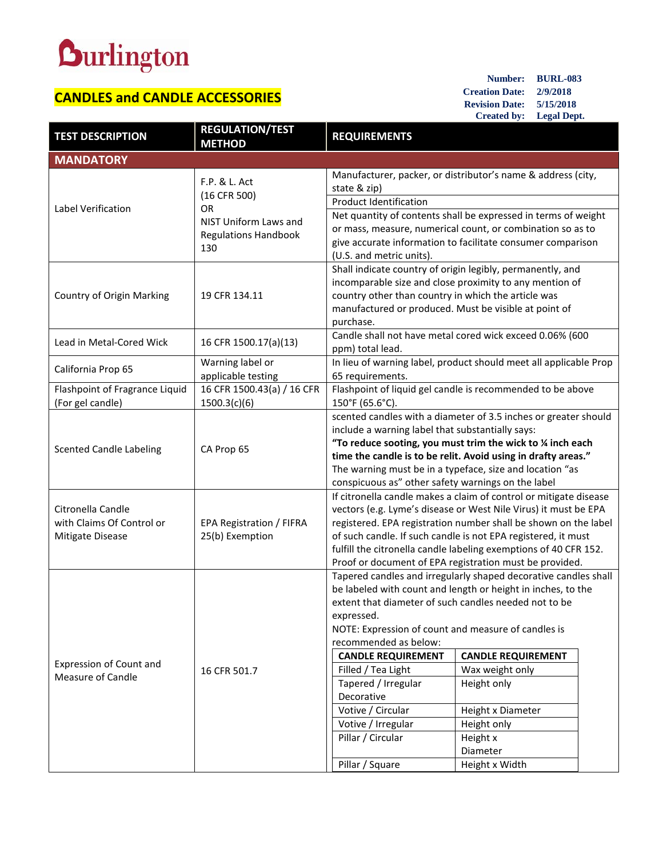## **Durlington**

## **CANDLES and CANDLE ACCESSORIES**

**Number: BURL-083 Creation Date: 2/9/2018 Revision Date: 5/15/2018 Created by: Legal Dept.**

| <b>TEST DESCRIPTION</b>                                            | <b>REGULATION/TEST</b><br><b>METHOD</b>                                                             | <b>REQUIREMENTS</b>                                                                                                 |                                                                   |  |  |
|--------------------------------------------------------------------|-----------------------------------------------------------------------------------------------------|---------------------------------------------------------------------------------------------------------------------|-------------------------------------------------------------------|--|--|
| <b>MANDATORY</b>                                                   |                                                                                                     |                                                                                                                     |                                                                   |  |  |
| Label Verification                                                 | F.P. & L. Act<br>(16 CFR 500)<br>OR.<br>NIST Uniform Laws and<br><b>Regulations Handbook</b><br>130 | Manufacturer, packer, or distributor's name & address (city,                                                        |                                                                   |  |  |
|                                                                    |                                                                                                     | state & zip)                                                                                                        |                                                                   |  |  |
|                                                                    |                                                                                                     | <b>Product Identification</b>                                                                                       |                                                                   |  |  |
|                                                                    |                                                                                                     | Net quantity of contents shall be expressed in terms of weight                                                      |                                                                   |  |  |
|                                                                    |                                                                                                     | or mass, measure, numerical count, or combination so as to                                                          |                                                                   |  |  |
|                                                                    |                                                                                                     | give accurate information to facilitate consumer comparison                                                         |                                                                   |  |  |
|                                                                    |                                                                                                     | (U.S. and metric units).                                                                                            |                                                                   |  |  |
| Country of Origin Marking                                          | 19 CFR 134.11                                                                                       |                                                                                                                     | Shall indicate country of origin legibly, permanently, and        |  |  |
|                                                                    |                                                                                                     | incomparable size and close proximity to any mention of                                                             |                                                                   |  |  |
|                                                                    |                                                                                                     | country other than country in which the article was                                                                 |                                                                   |  |  |
|                                                                    |                                                                                                     | manufactured or produced. Must be visible at point of                                                               |                                                                   |  |  |
|                                                                    |                                                                                                     | purchase.                                                                                                           |                                                                   |  |  |
| Lead in Metal-Cored Wick                                           | 16 CFR 1500.17(a)(13)                                                                               | Candle shall not have metal cored wick exceed 0.06% (600                                                            |                                                                   |  |  |
|                                                                    |                                                                                                     | ppm) total lead.                                                                                                    |                                                                   |  |  |
| California Prop 65                                                 | Warning label or                                                                                    | In lieu of warning label, product should meet all applicable Prop<br>65 requirements.                               |                                                                   |  |  |
|                                                                    | applicable testing<br>16 CFR 1500.43(a) / 16 CFR                                                    |                                                                                                                     |                                                                   |  |  |
| Flashpoint of Fragrance Liquid<br>(For gel candle)                 | 1500.3(c)(6)                                                                                        | Flashpoint of liquid gel candle is recommended to be above<br>150°F (65.6°C).                                       |                                                                   |  |  |
|                                                                    |                                                                                                     |                                                                                                                     |                                                                   |  |  |
| <b>Scented Candle Labeling</b>                                     | CA Prop 65                                                                                          | scented candles with a diameter of 3.5 inches or greater should<br>include a warning label that substantially says: |                                                                   |  |  |
|                                                                    |                                                                                                     | "To reduce sooting, you must trim the wick to $\frac{1}{4}$ inch each                                               |                                                                   |  |  |
|                                                                    |                                                                                                     | time the candle is to be relit. Avoid using in drafty areas."                                                       |                                                                   |  |  |
|                                                                    |                                                                                                     | The warning must be in a typeface, size and location "as                                                            |                                                                   |  |  |
|                                                                    |                                                                                                     | conspicuous as" other safety warnings on the label                                                                  |                                                                   |  |  |
| Citronella Candle<br>with Claims Of Control or<br>Mitigate Disease | <b>EPA Registration / FIFRA</b><br>25(b) Exemption                                                  |                                                                                                                     | If citronella candle makes a claim of control or mitigate disease |  |  |
|                                                                    |                                                                                                     | vectors (e.g. Lyme's disease or West Nile Virus) it must be EPA                                                     |                                                                   |  |  |
|                                                                    |                                                                                                     | registered. EPA registration number shall be shown on the label                                                     |                                                                   |  |  |
|                                                                    |                                                                                                     | of such candle. If such candle is not EPA registered, it must                                                       |                                                                   |  |  |
|                                                                    |                                                                                                     | fulfill the citronella candle labeling exemptions of 40 CFR 152.                                                    |                                                                   |  |  |
|                                                                    |                                                                                                     | Proof or document of EPA registration must be provided.                                                             |                                                                   |  |  |
| Expression of Count and<br><b>Measure of Candle</b>                | 16 CFR 501.7                                                                                        | Tapered candles and irregularly shaped decorative candles shall                                                     |                                                                   |  |  |
|                                                                    |                                                                                                     | be labeled with count and length or height in inches, to the                                                        |                                                                   |  |  |
|                                                                    |                                                                                                     | extent that diameter of such candles needed not to be                                                               |                                                                   |  |  |
|                                                                    |                                                                                                     | expressed.                                                                                                          |                                                                   |  |  |
|                                                                    |                                                                                                     | NOTE: Expression of count and measure of candles is                                                                 |                                                                   |  |  |
|                                                                    |                                                                                                     | recommended as below:                                                                                               |                                                                   |  |  |
|                                                                    |                                                                                                     | <b>CANDLE REQUIREMENT</b>                                                                                           | <b>CANDLE REQUIREMENT</b>                                         |  |  |
|                                                                    |                                                                                                     | Filled / Tea Light<br>Tapered / Irregular                                                                           | Wax weight only                                                   |  |  |
|                                                                    |                                                                                                     | Decorative                                                                                                          | Height only                                                       |  |  |
|                                                                    |                                                                                                     | Votive / Circular                                                                                                   |                                                                   |  |  |
|                                                                    |                                                                                                     | Votive / Irregular                                                                                                  | Height x Diameter<br>Height only                                  |  |  |
|                                                                    |                                                                                                     | Pillar / Circular                                                                                                   | Height x                                                          |  |  |
|                                                                    |                                                                                                     |                                                                                                                     | Diameter                                                          |  |  |
|                                                                    |                                                                                                     | Pillar / Square                                                                                                     | Height x Width                                                    |  |  |
|                                                                    |                                                                                                     |                                                                                                                     |                                                                   |  |  |